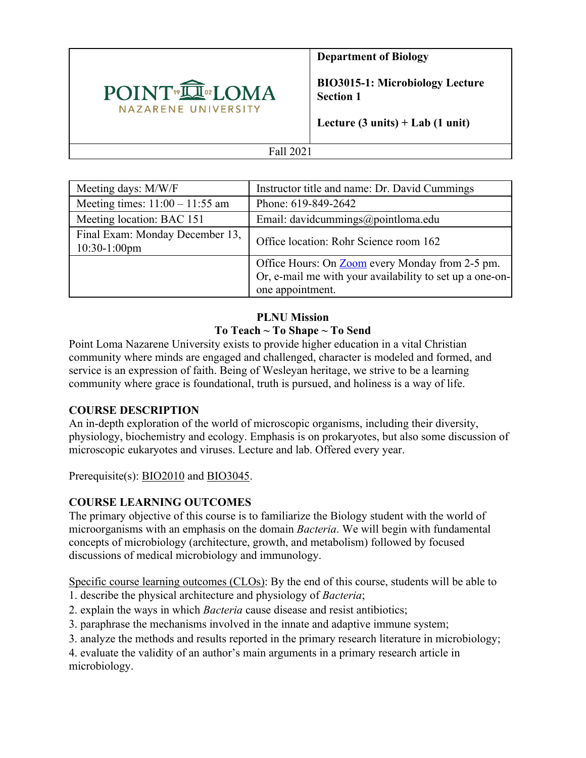

**Department of Biology**

**BIO3015-1: Microbiology Lecture Section 1**

**Lecture (3 units) + Lab (1 unit)**

### Fall 2021

| Meeting days: M/W/F                                | Instructor title and name: Dr. David Cummings            |
|----------------------------------------------------|----------------------------------------------------------|
| Meeting times: $11:00 - 11:55$ am                  | Phone: 619-849-2642                                      |
| Meeting location: BAC 151                          | Email: davidcummings@pointloma.edu                       |
| Final Exam: Monday December 13,<br>$10:30-1:00$ pm | Office location: Rohr Science room 162                   |
|                                                    | Office Hours: On <b>Zoom</b> every Monday from 2-5 pm.   |
|                                                    | Or, e-mail me with your availability to set up a one-on- |
|                                                    | one appointment.                                         |

### **PLNU Mission To Teach ~ To Shape ~ To Send**

Point Loma Nazarene University exists to provide higher education in a vital Christian community where minds are engaged and challenged, character is modeled and formed, and service is an expression of faith. Being of Wesleyan heritage, we strive to be a learning community where grace is foundational, truth is pursued, and holiness is a way of life.

# **COURSE DESCRIPTION**

An in-depth exploration of the world of microscopic organisms, including their diversity, physiology, biochemistry and ecology. Emphasis is on prokaryotes, but also some discussion of microscopic eukaryotes and viruses. Lecture and lab. Offered every year.

Prerequisite(s): BIO2010 and BIO3045.

# **COURSE LEARNING OUTCOMES**

The primary objective of this course is to familiarize the Biology student with the world of microorganisms with an emphasis on the domain *Bacteria*. We will begin with fundamental concepts of microbiology (architecture, growth, and metabolism) followed by focused discussions of medical microbiology and immunology.

Specific course learning outcomes (CLOs): By the end of this course, students will be able to

- 1. describe the physical architecture and physiology of *Bacteria*;
- 2. explain the ways in which *Bacteria* cause disease and resist antibiotics;
- 3. paraphrase the mechanisms involved in the innate and adaptive immune system;
- 3. analyze the methods and results reported in the primary research literature in microbiology;

4. evaluate the validity of an author's main arguments in a primary research article in microbiology.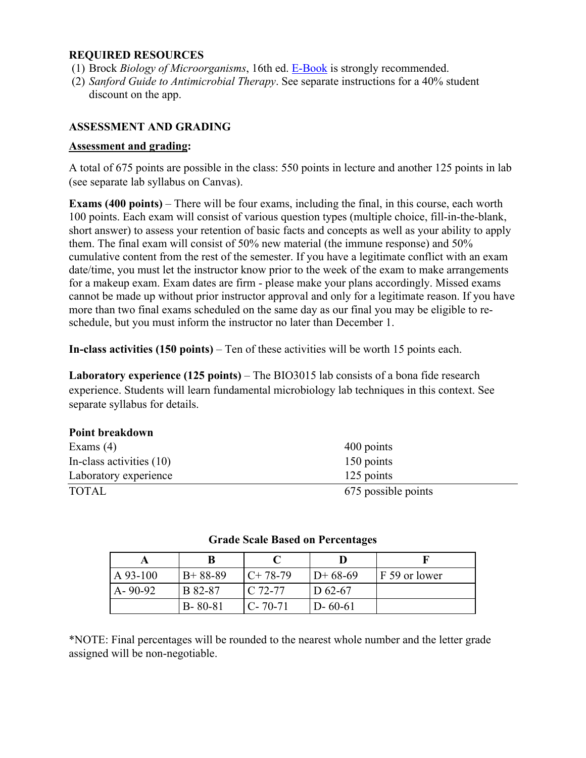### **REQUIRED RESOURCES**

- (1) Brock *Biology of Microorganisms*, 16th ed. E-Book is strongly recommended.
- (2) *Sanford Guide to Antimicrobial Therapy*. See separate instructions for a 40% student discount on the app.

### **ASSESSMENT AND GRADING**

#### **Assessment and grading:**

A total of 675 points are possible in the class: 550 points in lecture and another 125 points in lab (see separate lab syllabus on Canvas).

**Exams (400 points)** – There will be four exams, including the final, in this course, each worth 100 points. Each exam will consist of various question types (multiple choice, fill-in-the-blank, short answer) to assess your retention of basic facts and concepts as well as your ability to apply them. The final exam will consist of 50% new material (the immune response) and 50% cumulative content from the rest of the semester. If you have a legitimate conflict with an exam date/time, you must let the instructor know prior to the week of the exam to make arrangements for a makeup exam. Exam dates are firm - please make your plans accordingly. Missed exams cannot be made up without prior instructor approval and only for a legitimate reason. If you have more than two final exams scheduled on the same day as our final you may be eligible to reschedule, but you must inform the instructor no later than December 1.

**In-class activities (150 points)** – Ten of these activities will be worth 15 points each.

**Laboratory experience (125 points)** – The BIO3015 lab consists of a bona fide research experience. Students will learn fundamental microbiology lab techniques in this context. See separate syllabus for details.

#### **Point breakdown**

| Exams $(4)$              | 400 points          |
|--------------------------|---------------------|
| In-class activities (10) | 150 points          |
| Laboratory experience    | 125 points          |
| <b>TOTAL</b>             | 675 possible points |

| A 93-100      | $B+88-89$     | $C+78-79$     | $D+68-69$     | F 59 or lower |
|---------------|---------------|---------------|---------------|---------------|
| $A - 90 - 92$ | B 82-87       | $C.72-77$     | D $62-67$     |               |
|               | $B - 80 - 81$ | $C - 70 - 71$ | $D - 60 - 61$ |               |

#### **Grade Scale Based on Percentages**

\*NOTE: Final percentages will be rounded to the nearest whole number and the letter grade assigned will be non-negotiable.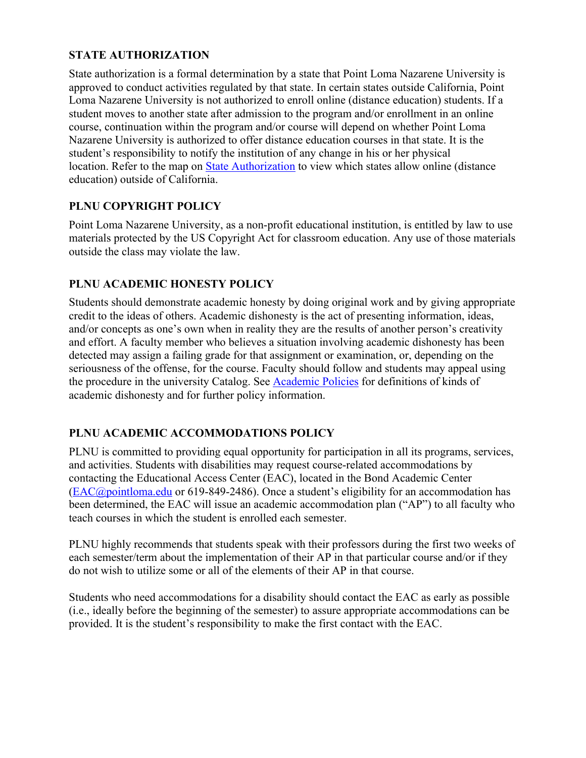# **STATE AUTHORIZATION**

State authorization is a formal determination by a state that Point Loma Nazarene University is approved to conduct activities regulated by that state. In certain states outside California, Point Loma Nazarene University is not authorized to enroll online (distance education) students. If a student moves to another state after admission to the program and/or enrollment in an online course, continuation within the program and/or course will depend on whether Point Loma Nazarene University is authorized to offer distance education courses in that state. It is the student's responsibility to notify the institution of any change in his or her physical location. Refer to the map on State Authorization to view which states allow online (distance education) outside of California.

## **PLNU COPYRIGHT POLICY**

Point Loma Nazarene University, as a non-profit educational institution, is entitled by law to use materials protected by the US Copyright Act for classroom education. Any use of those materials outside the class may violate the law.

## **PLNU ACADEMIC HONESTY POLICY**

Students should demonstrate academic honesty by doing original work and by giving appropriate credit to the ideas of others. Academic dishonesty is the act of presenting information, ideas, and/or concepts as one's own when in reality they are the results of another person's creativity and effort. A faculty member who believes a situation involving academic dishonesty has been detected may assign a failing grade for that assignment or examination, or, depending on the seriousness of the offense, for the course. Faculty should follow and students may appeal using the procedure in the university Catalog. See Academic Policies for definitions of kinds of academic dishonesty and for further policy information.

### **PLNU ACADEMIC ACCOMMODATIONS POLICY**

PLNU is committed to providing equal opportunity for participation in all its programs, services, and activities. Students with disabilities may request course-related accommodations by contacting the Educational Access Center (EAC), located in the Bond Academic Center (EAC@pointloma.edu or 619-849-2486). Once a student's eligibility for an accommodation has been determined, the EAC will issue an academic accommodation plan ("AP") to all faculty who teach courses in which the student is enrolled each semester.

PLNU highly recommends that students speak with their professors during the first two weeks of each semester/term about the implementation of their AP in that particular course and/or if they do not wish to utilize some or all of the elements of their AP in that course.

Students who need accommodations for a disability should contact the EAC as early as possible (i.e., ideally before the beginning of the semester) to assure appropriate accommodations can be provided. It is the student's responsibility to make the first contact with the EAC.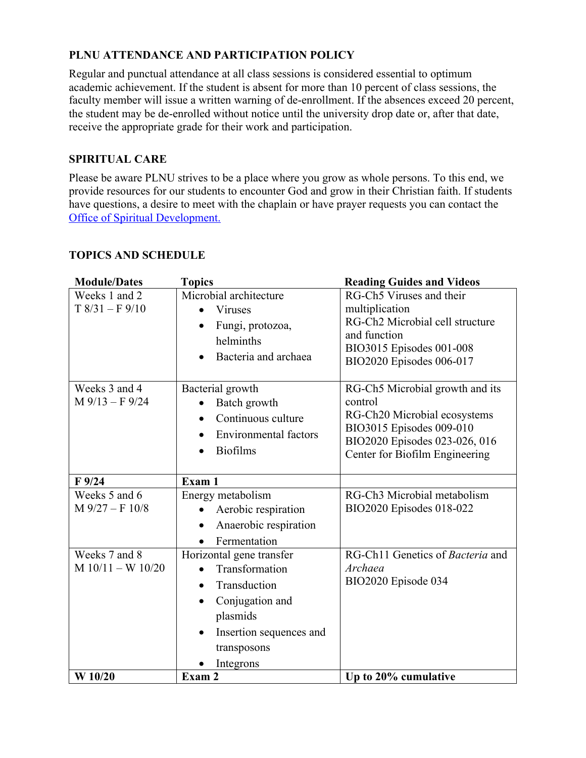# **PLNU ATTENDANCE AND PARTICIPATION POLICY**

Regular and punctual attendance at all class sessions is considered essential to optimum academic achievement. If the student is absent for more than 10 percent of class sessions, the faculty member will issue a written warning of de-enrollment. If the absences exceed 20 percent, the student may be de-enrolled without notice until the university drop date or, after that date, receive the appropriate grade for their work and participation.

## **SPIRITUAL CARE**

Please be aware PLNU strives to be a place where you grow as whole persons. To this end, we provide resources for our students to encounter God and grow in their Christian faith. If students have questions, a desire to meet with the chaplain or have prayer requests you can contact the Office of Spiritual Development.

## **TOPICS AND SCHEDULE**

| <b>Module/Dates</b> | <b>Topics</b>                        | <b>Reading Guides and Videos</b> |
|---------------------|--------------------------------------|----------------------------------|
| Weeks 1 and 2       | Microbial architecture               | RG-Ch5 Viruses and their         |
| $T8/31 - F9/10$     | Viruses                              | multiplication                   |
|                     | Fungi, protozoa,                     | RG-Ch2 Microbial cell structure  |
|                     | helminths                            | and function                     |
|                     | Bacteria and archaea                 | BIO3015 Episodes 001-008         |
|                     |                                      | BIO2020 Episodes 006-017         |
| Weeks 3 and 4       | Bacterial growth                     | RG-Ch5 Microbial growth and its  |
| $M$ 9/13 – F 9/24   | Batch growth                         | control                          |
|                     | Continuous culture                   | RG-Ch20 Microbial ecosystems     |
|                     | <b>Environmental factors</b>         | BIO3015 Episodes 009-010         |
|                     | <b>Biofilms</b>                      | BIO2020 Episodes 023-026, 016    |
|                     |                                      | Center for Biofilm Engineering   |
| $F$ 9/24            | Exam 1                               |                                  |
| Weeks 5 and 6       | Energy metabolism                    | RG-Ch3 Microbial metabolism      |
| $M$ 9/27 – F 10/8   | Aerobic respiration                  | BIO2020 Episodes 018-022         |
|                     | Anaerobic respiration                |                                  |
|                     | Fermentation                         |                                  |
| Weeks 7 and 8       | Horizontal gene transfer             | RG-Ch11 Genetics of Bacteria and |
| $M 10/11 - W 10/20$ | Transformation                       | Archaea                          |
|                     | Transduction                         | BIO2020 Episode 034              |
|                     | Conjugation and                      |                                  |
|                     | plasmids                             |                                  |
|                     | Insertion sequences and<br>$\bullet$ |                                  |
|                     | transposons                          |                                  |
|                     | Integrons                            |                                  |
| W 10/20             | Exam 2                               | Up to 20% cumulative             |